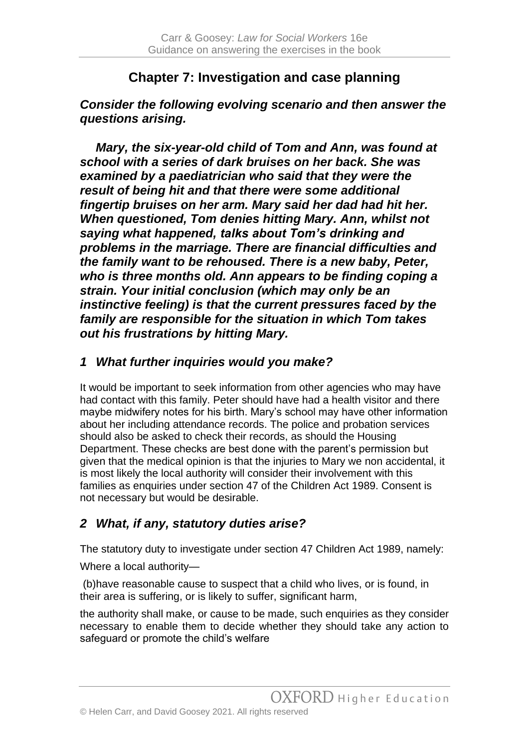# **Chapter 7: Investigation and case planning**

*Consider the following evolving scenario and then answer the questions arising.*

*Mary, the six-year-old child of Tom and Ann, was found at school with a series of dark bruises on her back. She was examined by a paediatrician who said that they were the result of being hit and that there were some additional fingertip bruises on her arm. Mary said her dad had hit her. When questioned, Tom denies hitting Mary. Ann, whilst not saying what happened, talks about Tom's drinking and problems in the marriage. There are financial difficulties and the family want to be rehoused. There is a new baby, Peter, who is three months old. Ann appears to be finding coping a strain. Your initial conclusion (which may only be an instinctive feeling) is that the current pressures faced by the family are responsible for the situation in which Tom takes out his frustrations by hitting Mary.*

## *1 What further inquiries would you make?*

It would be important to seek information from other agencies who may have had contact with this family. Peter should have had a health visitor and there maybe midwifery notes for his birth. Mary's school may have other information about her including attendance records. The police and probation services should also be asked to check their records, as should the Housing Department. These checks are best done with the parent's permission but given that the medical opinion is that the injuries to Mary we non accidental, it is most likely the local authority will consider their involvement with this families as enquiries under section 47 of the Children Act 1989. Consent is not necessary but would be desirable.

# *2 What, if any, statutory duties arise?*

The statutory duty to investigate under section 47 Children Act 1989, namely:

Where a local authority—

(b)have reasonable cause to suspect that a child who lives, or is found, in their area is suffering, or is likely to suffer, significant harm,

the authority shall make, or cause to be made, such enquiries as they consider necessary to enable them to decide whether they should take any action to safeguard or promote the child's welfare